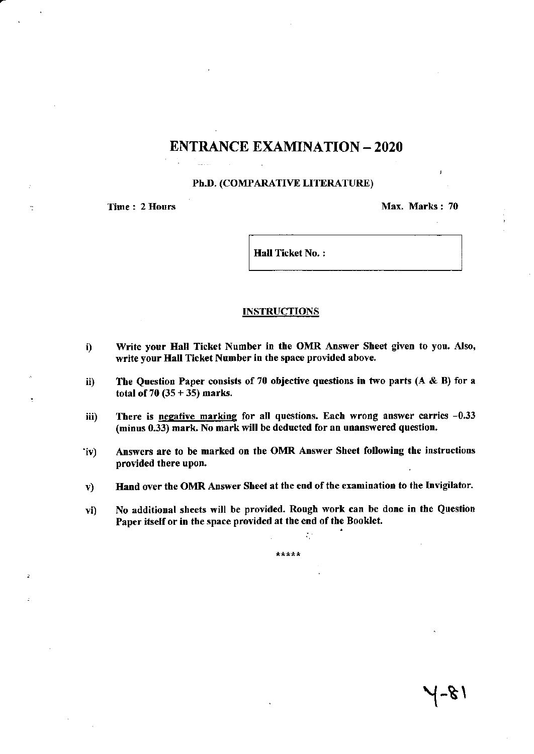# ENTRANCE EXAMINATION - 2O2O

## Ph.D. (COMPARATIVE LITERATURE)

Time : 2 Hours Max. Marks : 70

Hall Ticket No.:

#### **INSTRUCTIONS**

- i) Write your Hall Ticket Number in the OMR Answer Sheet given to you. Also, write your Hall Ticket Number in the space provided above.
- ii) The Question Paper consists of 70 objective questions in two parts  $(A \& B)$  for a total of  $70 (35 + 35)$  marks.
- iii) There is negative marking for all questions. Each wrong answer carries -0.33 (minus 0.33) mark. No mark will be deducted for an unanswered question.
- 'iv) Answers are to be marked on the OMR Answer Sheet following the instructions provided there upon.
- v) Hand over the OMR Answer Sheet at the end of the examination to the Invigilator.
- vi) No additional sheets will be provided. Rough work can be done in the Question Paper itself or in the space provided at the end of the Booklet.

\*\*\*\*\*

:

 $\sim$  /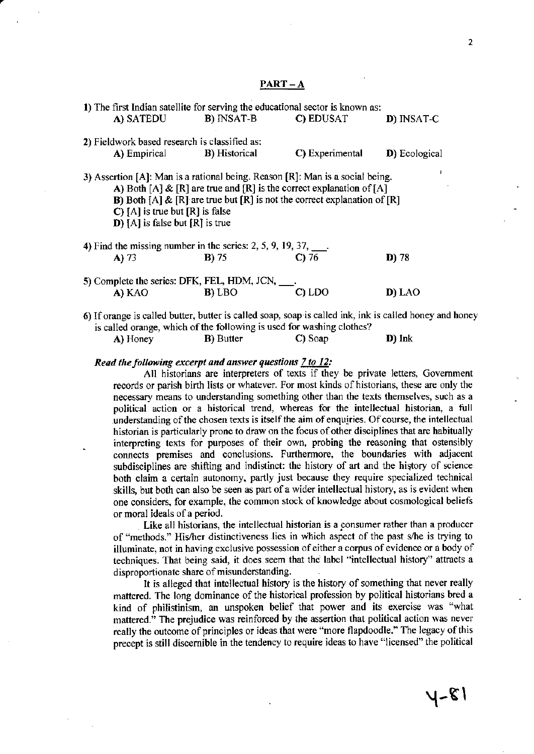## PART – A

| 1) The first Indian satellite for serving the educational sector is known as:                                                                         |                                           |                                                                                                                                                          |               |
|-------------------------------------------------------------------------------------------------------------------------------------------------------|-------------------------------------------|----------------------------------------------------------------------------------------------------------------------------------------------------------|---------------|
| A) SATEDU                                                                                                                                             | <b>B</b> ) INSAT-B <b>C</b> ) EDUSAT      |                                                                                                                                                          | D) INSAT-C    |
| 2) Fieldwork based research is classified as:                                                                                                         |                                           |                                                                                                                                                          |               |
|                                                                                                                                                       | <b>A)</b> Empirical <b>B</b> ) Historical | C) Experimental                                                                                                                                          | D) Ecological |
| 3) Assertion [A]: Man is a rational being. Reason [R]: Man is a social being.<br>$C$ [A] is true but [R] is false<br>$D$ [A] is false but [R] is true |                                           | A) Both [A] & [R] are true and [R] is the correct explanation of [A]<br><b>B</b> ) Both [A] & [R] are true but [R] is not the correct explanation of [R] |               |
| 4) Find the missing number in the series: 2, 5, 9, 19, 37, $\qquad \qquad$ .                                                                          |                                           |                                                                                                                                                          |               |
| $A)$ 73                                                                                                                                               | $B)$ 75                                   | $C$ 76                                                                                                                                                   | D) 78         |
| 5) Complete the series: DFK, FEL, HDM, JCN, ___.                                                                                                      |                                           |                                                                                                                                                          |               |
| A) KAO                                                                                                                                                | B) LBO                                    | $C$ ) LDO                                                                                                                                                | D) LAO        |
| 6) If orange is called butter, butter is called soap, soap is called ink, ink is called honey and                                                     |                                           |                                                                                                                                                          |               |

inge is called butter, butter is called soap, soap is called ink, ink is called honey and honey is called orange, which of the following is used for washing clothes?

|  | A) Honey | <b>B</b> ) Butter | C) Soap | D) Ink |
|--|----------|-------------------|---------|--------|
|--|----------|-------------------|---------|--------|

#### Read the following excerpt and answer questions  $7$  to  $12$ :

All historians are interpreters of texts if they be private letters, Govemment records or parish birth lists or whatever. For most kinds of historians, these are only the necessary means to understanding something other than the texts themselves, such as a political action or a historical fiend, whereas for the intellectual historian, a full understanding of the chosen texts is itself the aim of enquiries. Of course, the intellectual historian is particularly prone to draw on the focus of other disciplines that are habitually interpreting texts for purposes of their own, probing the reasoning that ostensibly connects premises and conclusions. Furthermore, the boundaries with adjacent subdisciplines are shifting and indistinct: the history of art and the history of science both claim a certain autonomy, partly just because they require specialized technical skills, but both can also be seen as part of a wider intellectual history, as is evident when one considers, for example, the common stock of knowledge about cosmological beliefs or moral ideals of a period.

Like all historians, the intellectual historian is a consumer mther than a producer of "methods." His/her distinctiveness lies in which aspect of the past s/he is trying to illuminate, not in having exclusive possession of either a corpus of evidence or a body of techniques. That being said, it does seem that the label "intellectual history" attracts a disproportionate share of misunderstanding.

It is alleged that intellectual history is the history of something that never really mattered. The long dominance of the historical profession by political historians bred a kind of philistinism, an unspoken belief that power and its exercise was "what mattercd." The prejudice was reinforced by the assertion that political action was never really the outcome of principles or ideas that were "more flapdoodle." The legacy of this precept is still discernible in the tendency to require ideas to have "licensed" the political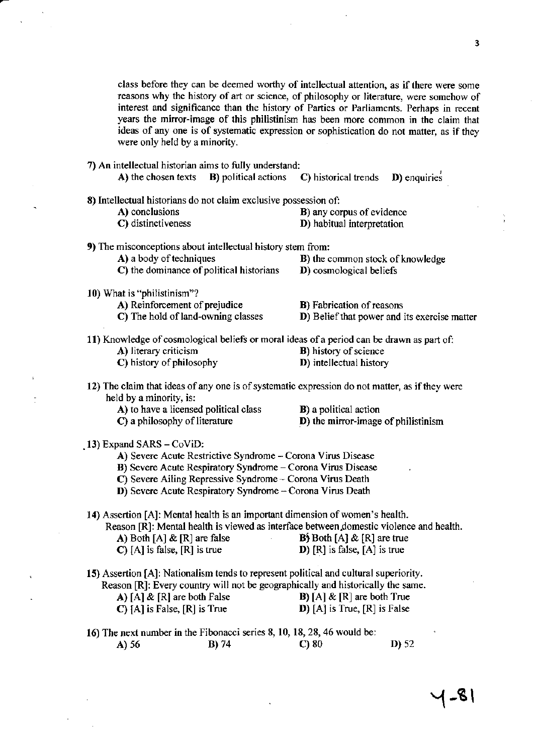class before they can be deemed worthy of intellectual attention, as if there were some reasons why the history of art or science, of philosophy or literature, were somehow of interest and significance than the history of Parties or Parliaments. Perhaps in recent years the mirror-image of this philistinism has been more common in the claim that ideas of any one is of systematic expression or sophistication do not matter, as if they were only held by a minority.

- 7) An intellectual historian aims to fully understand:
	- A) the chosen texts B) political actions C) historical trends D) enquiries

| 8) Intellectual historians do not claim exclusive possession of:                          |                                              |
|-------------------------------------------------------------------------------------------|----------------------------------------------|
| A) conclusions                                                                            | <b>B</b> ) any corpus of evidence            |
| C) distinctiveness                                                                        | D) habitual interpretation                   |
| 9) The misconceptions about intellectual history stem from:                               |                                              |
| A) a body of techniques                                                                   | <b>B</b> ) the common stock of knowledge     |
| C) the dominance of political historians                                                  | D) cosmological beliefs                      |
| 10) What is "philistinism"?                                                               |                                              |
| A) Reinforcement of prejudice                                                             | <b>B</b> ) Fabrication of reasons            |
| C) The hold of land-owning classes                                                        | D) Belief that power and its exercise matter |
| 11) Knowledge of cosmological beliefs or moral ideas of a period can be drawn as part of: |                                              |
| A) literary criticism                                                                     | <b>B</b> ) history of science                |
| C) history of philosophy                                                                  | D) intellectual history                      |
|                                                                                           |                                              |

- 12) The claim that ideas of any one is of systematic expression do not matter, as if they were held by a minority, is:
	- A) to have a licensed political class <br> **B**) a political action<br> **C**) a philosophy of literature <br> **D**) the mirror-image
		-
		-
- D) the mirror-image of philistinism

- .13) Expand SARS CoviD:
	- A) Severe Acute Restrictive Syndrome Corona Virus Disease
	- B) Severe Acute Respiratory Syndrome Corona Virus Disease
	- C) Severe Ailing Repressive Syndrome Corona Virus Death
	- D) Severe Acute Respiratory Syndrome Corona Virus Death

14) Assertion [A]: Mental health is an important dimension ofwomen's health.

Reason [R]: Mental health is viewed as interface between domestic violence and health.<br>A) Both [A] & [R] are true<br> $\mathbf{B}$  Both [A] & [R] are true A) Both [A] & [R] are false **C**) [A] is false, [R] is true D)  $[R]$  is false,  $[A]$  is true

15) Assertion [A]: Nationalism tends to represent political and cultural superiority. Reason [R]: Every country will not be geographically and historically the same.<br> **A**) [A] & [R] are both False **B**) [A] & [R] are both True A)  $[A] \& [R]$  are both False C)  $[A]$  is False,  $[R]$  is True D)  $[A]$  is True,  $[R]$  is False

16) The next number in the Fibonacci series 8, 10, 18, 28, 46 would be:<br> **A**) 56 **B**) 74 **C**) 80 **D**) 52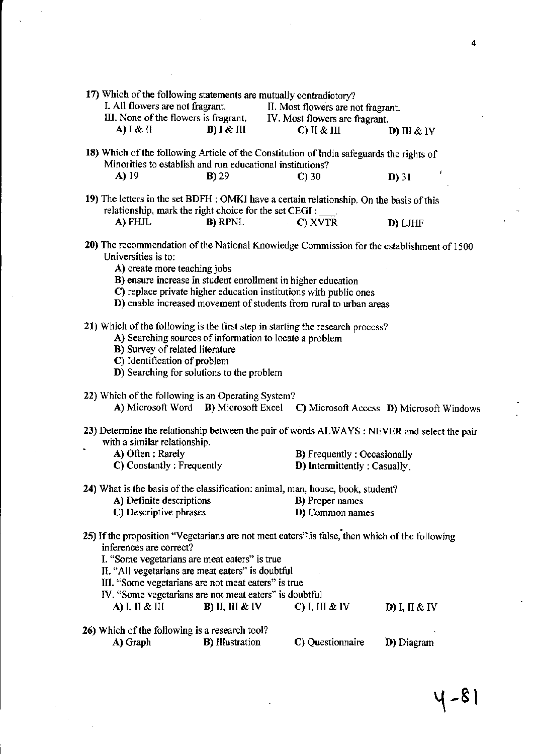| 17) Which of the following statements are mutually contradictory?<br>I. All flowers are not fragrant.<br>A) I & II                                                                                                                                                                     | $B)$ I & III            | II. Most flowers are not fragrant.<br>III. None of the flowers is fragrant. IV. Most flowers are fragrant.<br>$C)$ II & III | D) III $&$ IV                                                                               |
|----------------------------------------------------------------------------------------------------------------------------------------------------------------------------------------------------------------------------------------------------------------------------------------|-------------------------|-----------------------------------------------------------------------------------------------------------------------------|---------------------------------------------------------------------------------------------|
| 18) Which of the following Article of the Constitution of India safeguards the rights of                                                                                                                                                                                               |                         |                                                                                                                             |                                                                                             |
| Minorities to establish and run educational institutions?                                                                                                                                                                                                                              |                         |                                                                                                                             |                                                                                             |
| A) 19                                                                                                                                                                                                                                                                                  | $B)$ 29                 | $C$ ) 30                                                                                                                    | ł<br>$D$ ) 31                                                                               |
| 19) The letters in the set BDFH : OMKI have a certain relationship. On the basis of this<br>relationship, mark the right choice for the set CEGI :                                                                                                                                     |                         |                                                                                                                             |                                                                                             |
| A) FHJL                                                                                                                                                                                                                                                                                | <b>B</b> ) RPNL         | C) XVTR                                                                                                                     | D) LJHF                                                                                     |
| Universities is to:                                                                                                                                                                                                                                                                    |                         |                                                                                                                             | 20) The recommendation of the National Knowledge Commission for the establishment of 1500   |
| A) create more teaching jobs                                                                                                                                                                                                                                                           |                         |                                                                                                                             |                                                                                             |
|                                                                                                                                                                                                                                                                                        |                         | B) ensure increase in student enrollment in higher education                                                                |                                                                                             |
|                                                                                                                                                                                                                                                                                        |                         | C) replace private higher education institutions with public ones                                                           |                                                                                             |
|                                                                                                                                                                                                                                                                                        |                         | D) enable increased movement of students from rural to urban areas                                                          |                                                                                             |
| 21) Which of the following is the first step in starting the research process?<br><b>B</b> ) Survey of related literature<br>C) Identification of problem<br>D) Searching for solutions to the problem                                                                                 |                         | A) Searching sources of information to locate a problem                                                                     |                                                                                             |
| 22) Which of the following is an Operating System?                                                                                                                                                                                                                                     |                         |                                                                                                                             |                                                                                             |
| A) Microsoft Word B) Microsoft Excel                                                                                                                                                                                                                                                   |                         |                                                                                                                             | C) Microsoft Access D) Microsoft Windows                                                    |
| with a similar relationship.                                                                                                                                                                                                                                                           |                         |                                                                                                                             | 23) Determine the relationship between the pair of words ALWAYS : NEVER and select the pair |
| A) Often: Rarely                                                                                                                                                                                                                                                                       |                         |                                                                                                                             | <b>B</b> ) Frequently: Occasionally                                                         |
| C) Constantly: Frequently                                                                                                                                                                                                                                                              |                         |                                                                                                                             | D) Intermittently: Casually.                                                                |
| 24) What is the basis of the classification: animal, man, house, book, student?                                                                                                                                                                                                        |                         |                                                                                                                             |                                                                                             |
| A) Definite descriptions                                                                                                                                                                                                                                                               |                         | <b>B</b> ) Proper names                                                                                                     |                                                                                             |
| C) Descriptive phrases                                                                                                                                                                                                                                                                 |                         | D) Common names                                                                                                             |                                                                                             |
| 25) If the proposition "Vegetarians are not meat eaters" is false, then which of the following<br>inferences are correct?<br>I. "Some vegetarians are meat eaters" is true<br>II. "All vegetarians are meat eaters" is doubtful<br>III. "Some vegetarians are not meat eaters" is true |                         |                                                                                                                             |                                                                                             |
| IV. "Some vegetarians are not meat eaters" is doubtful                                                                                                                                                                                                                                 |                         |                                                                                                                             |                                                                                             |
| A) I, II & III                                                                                                                                                                                                                                                                         | $B)$ II, III & IV       | C) I, III & IV                                                                                                              | D) I, II & IV                                                                               |
| 26) Which of the following is a research tool?                                                                                                                                                                                                                                         |                         |                                                                                                                             |                                                                                             |
| A) Graph                                                                                                                                                                                                                                                                               | <b>B</b> ) Illustration | C) Questionnaire                                                                                                            | D) Diagram                                                                                  |

 $4 - 81$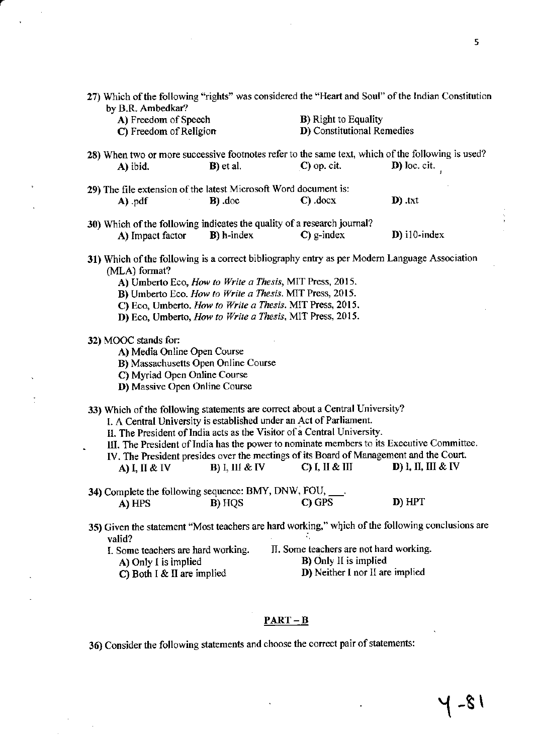| by B.R. Ambedkar?                                                                                                                                                                                                                                                                                                                                            |                        |                                                                                                                                                                                                                                                              | 27) Which of the following "rights" was considered the "Heart and Soul" of the Indian Constitution              |  |  |
|--------------------------------------------------------------------------------------------------------------------------------------------------------------------------------------------------------------------------------------------------------------------------------------------------------------------------------------------------------------|------------------------|--------------------------------------------------------------------------------------------------------------------------------------------------------------------------------------------------------------------------------------------------------------|-----------------------------------------------------------------------------------------------------------------|--|--|
| A) Freedom of Speech<br>C) Freedom of Religion                                                                                                                                                                                                                                                                                                               |                        | <b>B)</b> Right to Equality<br>D) Constitutional Remedies                                                                                                                                                                                                    |                                                                                                                 |  |  |
| 28) When two or more successive footnotes refer to the same text, which of the following is used?<br>A) ibid.                                                                                                                                                                                                                                                | $B$ ) et al.           | $C$ ) op. cit.                                                                                                                                                                                                                                               | $\mathbf{D}$ ) loc. cit.                                                                                        |  |  |
| 29) The file extension of the latest Microsoft Word document is:<br>$A)$ .pdf                                                                                                                                                                                                                                                                                | $B)$ doc               | $C)$ .docx                                                                                                                                                                                                                                                   | $\mathbf{D}$ ) .txt                                                                                             |  |  |
| 30) Which of the following indicates the quality of a research journal?<br>A) Impact factor                                                                                                                                                                                                                                                                  | <b>B</b> ) h-index     | $C$ ) g-index                                                                                                                                                                                                                                                | $D$ ) i10-index                                                                                                 |  |  |
| 31) Which of the following is a correct bibliography entry as per Modern Language Association<br>(MLA) format?<br>A) Umberto Eco, How to Write a Thesis, MIT Press, 2015.<br>B) Umberto Eco. How to Write a Thesis. MIT Press, 2015.<br>C) Eco, Umberto. How to Write a Thesis. MIT Press, 2015.<br>D) Eco, Umberto, How to Write a Thesis, MIT Press, 2015. |                        |                                                                                                                                                                                                                                                              |                                                                                                                 |  |  |
| 32) MOOC stands for:<br>A) Media Online Open Course<br>B) Massachusetts Open Online Course<br>C) Myriad Open Online Course<br>D) Massive Open Online Course                                                                                                                                                                                                  |                        |                                                                                                                                                                                                                                                              |                                                                                                                 |  |  |
| 33) Which of the following statements are correct about a Central University?<br>A) I, II & IV                                                                                                                                                                                                                                                               | <b>B</b> ) I, III & IV | I. A Central University is established under an Act of Parliament.<br>II. The President of India acts as the Visitor of a Central University.<br>IV. The President presides over the meetings of its Board of Management and the Court.<br>$C$ ) I, II & III | III. The President of India has the power to nominate members to its Executive Committee.<br>D) I, II, III & IV |  |  |
| 34) Complete the following sequence: BMY, DNW, FOU,<br>A) HPS                                                                                                                                                                                                                                                                                                | <b>B</b> ) HQS         | C) GPS                                                                                                                                                                                                                                                       | D) HPT                                                                                                          |  |  |
| valid?                                                                                                                                                                                                                                                                                                                                                       |                        |                                                                                                                                                                                                                                                              | 35) Given the statement "Most teachers are hard working," which of the following conclusions are                |  |  |
| I. Some teachers are hard working.<br>A) Only I is implied<br>C) Both I & II are implied                                                                                                                                                                                                                                                                     |                        | II. Some teachers are not hard working.<br><b>B</b> ) Only II is implied<br>D) Neither I nor II are implied                                                                                                                                                  |                                                                                                                 |  |  |

## $PART-B$

36) Consider the following statements and choose the correct pair of statements:

 $\ddot{\phantom{0}}$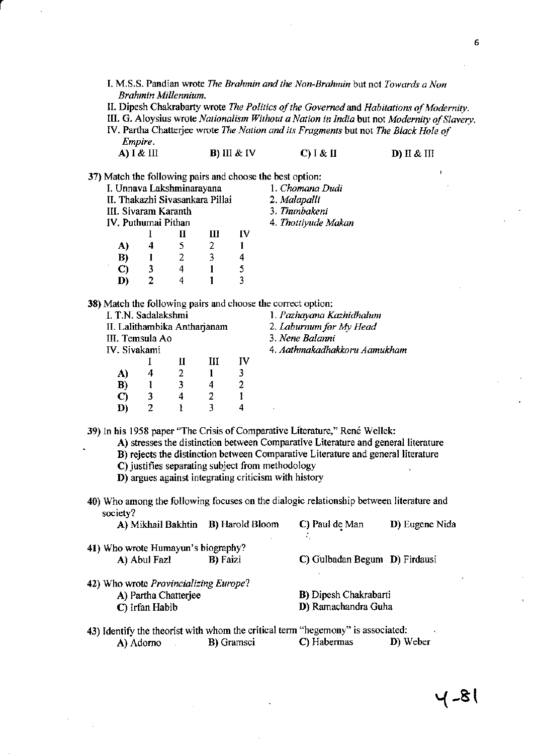- I. M.S.S. Pandian wrote The Brahmin and the Non-Brahmin but not Towards a Non Brahmin Millennium.
- II. Dipesh Chakrabarty wrote The Politics of the Governed and Habitations of Modernity.

III. G. Aloysius wrote Nationalism Without a Nation in India but not Modernity of Slavery.

IV. Partha Chatterjee wrote The Nation and its Fragments but not The Black Hole of Empire. A) I & III  $B)$  III & IV  $C)$   $I \& II$ D) II & III

37) Match the following pairs and choose the best option:

| I. Unnava Lakshminarayana       |   |   |   |    | 1. Chomana Dudi     |
|---------------------------------|---|---|---|----|---------------------|
| II. Thakazhi Sivasankara Pillai |   |   |   |    | 2. Malapalli        |
| III. Sivaram Karanth            |   |   |   |    | 3. Thunbakeni       |
| IV. Puthumai Pithan             |   |   |   |    | 4. Thottiyude Makan |
|                                 |   |   | Ш | IV |                     |
| A)                              |   | 5 | 2 |    |                     |
| B)                              |   | 2 |   |    |                     |
| C)                              | 3 | 4 |   |    |                     |
| D)                              |   |   |   |    |                     |

38) Match the following pairs and choose the correct option:

| I. T.N. Sadalakshmi          |   |   |   |    | 1. Pazhayana Kazhidhalum     |
|------------------------------|---|---|---|----|------------------------------|
| II. Lalithambika Antharjanam |   |   |   |    | 2. Laburnum for My Head      |
| III. Temsula Ao              |   |   |   |    | 3. Nene Balanni              |
| IV. Sivakami                 |   |   |   |    | 4. Aathmakadhakkoru Aamukham |
|                              |   |   | Ш | IV |                              |
| A)                           | 4 |   |   |    |                              |
| B)                           |   | 3 | 4 | 2  |                              |
| C)                           |   | 4 |   |    |                              |
| D)                           | 2 |   |   |    |                              |
|                              |   |   |   |    |                              |

39) In his 1958 paper "The Crisis of Comparative Literature," René Wellek:

A) stresses the distinction between Comparative Literature and general literature

B) rejects the distinction between Comparative Literature and general literature

C) justifies separating subject from methodology

D) argues against integrating criticism with history

40) Who among the following focuses on the dialogic relationship between literature and society?  $\sim$  and  $\sim$  $\mathbf{m}$   $\mathbf{r}$  $14 \text{ D}$ laam C) David do Main

| A) MIKRAIL BAKRUD B) HATOIG BIOOTH                                                     |                  | C) raui de Man                | $\mathbf{D}$ Eugene Niga |  |
|----------------------------------------------------------------------------------------|------------------|-------------------------------|--------------------------|--|
| 41) Who wrote Humayun's biography?                                                     |                  |                               |                          |  |
| A) Abul Fazl                                                                           | <b>B</b> ) Faizi | C) Gulbadan Begum D) Firdausi |                          |  |
| 42) Who wrote Provincializing Europe?                                                  |                  |                               |                          |  |
| A) Partha Chatterjee                                                                   |                  | B) Dipesh Chakrabarti         |                          |  |
| C) Irfan Habib                                                                         |                  | D) Ramachandra Guha           |                          |  |
| <b>43)</b> Identify the theorist with whom the critical term "hegemony" is associated: |                  |                               |                          |  |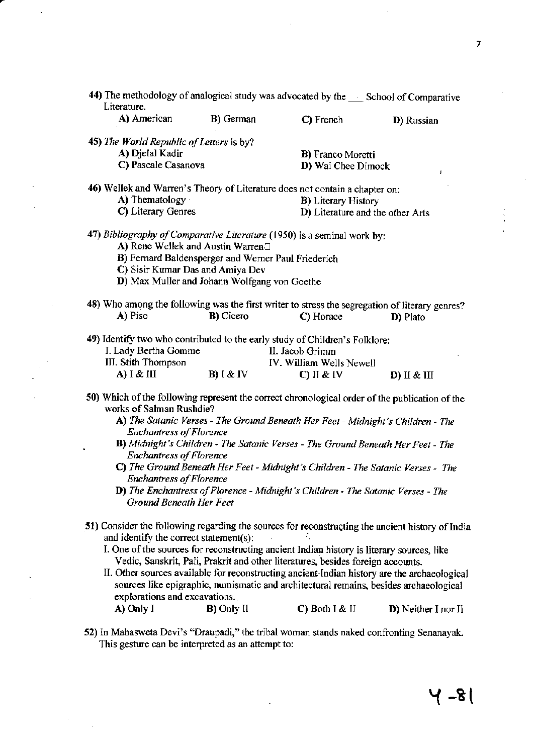$\bar{z}$ 

| 44) The methodology of analogical study was advocated by the ___ School of Comparative<br>Literature. |                                                     |                                                                                 |                                                                                              |
|-------------------------------------------------------------------------------------------------------|-----------------------------------------------------|---------------------------------------------------------------------------------|----------------------------------------------------------------------------------------------|
| A) American                                                                                           | B) German                                           | C) French                                                                       |                                                                                              |
|                                                                                                       |                                                     |                                                                                 | D) Russian                                                                                   |
| 45) The World Republic of Letters is by?                                                              |                                                     |                                                                                 |                                                                                              |
| A) Djelal Kadir                                                                                       |                                                     | <b>B</b> ) Franco Moretti                                                       |                                                                                              |
| C) Pascale Casanova                                                                                   |                                                     | D) Wai Chee Dimock                                                              |                                                                                              |
|                                                                                                       |                                                     |                                                                                 | ı                                                                                            |
| 46) Wellek and Warren's Theory of Literature does not contain a chapter on:                           |                                                     |                                                                                 |                                                                                              |
| A) Thematology                                                                                        |                                                     | <b>B</b> ) Literary History                                                     |                                                                                              |
| C) Literary Genres                                                                                    |                                                     |                                                                                 | D) Literature and the other Arts                                                             |
|                                                                                                       |                                                     |                                                                                 |                                                                                              |
| 47) Bibliography of Comparative Literature (1950) is a seminal work by:                               |                                                     |                                                                                 |                                                                                              |
| A) Rene Wellek and Austin Warren□                                                                     |                                                     |                                                                                 |                                                                                              |
|                                                                                                       | B) Fernard Baldensperger and Werner Paul Friederich |                                                                                 |                                                                                              |
| C) Sisir Kumar Das and Amiya Dev                                                                      |                                                     |                                                                                 |                                                                                              |
|                                                                                                       | D) Max Muller and Johann Wolfgang von Goethe        |                                                                                 |                                                                                              |
|                                                                                                       |                                                     |                                                                                 |                                                                                              |
| 48) Who among the following was the first writer to stress the segregation of literary genres?        |                                                     |                                                                                 |                                                                                              |
| A) Piso                                                                                               | <b>B</b> ) Cicero                                   | C) Horace                                                                       | D) Plato                                                                                     |
|                                                                                                       |                                                     |                                                                                 |                                                                                              |
| 49) Identify two who contributed to the early study of Children's Folklore:                           |                                                     |                                                                                 |                                                                                              |
| I. Lady Bertha Gomme                                                                                  |                                                     | II. Jacob Grimm                                                                 |                                                                                              |
| III. Stith Thompson                                                                                   |                                                     | IV. William Wells Newell                                                        |                                                                                              |
| A) I & III                                                                                            | <b>B</b> ) $\&$ IV                                  | $C)$ II & IV                                                                    | $D)$ II & III                                                                                |
|                                                                                                       |                                                     |                                                                                 |                                                                                              |
| 50) Which of the following represent the correct chronological order of the publication of the        |                                                     |                                                                                 |                                                                                              |
| works of Salman Rushdie?                                                                              |                                                     |                                                                                 |                                                                                              |
|                                                                                                       |                                                     |                                                                                 | A) The Satanic Verses - The Ground Beneath Her Feet - Midnight's Children - The              |
| <b>Enchantress of Florence</b>                                                                        |                                                     |                                                                                 |                                                                                              |
| ٠                                                                                                     |                                                     |                                                                                 | B) Midnight's Children - The Satanic Verses - The Ground Beneath Her Feet - The              |
| <b>Enchantress of Florence</b>                                                                        |                                                     |                                                                                 |                                                                                              |
|                                                                                                       |                                                     |                                                                                 | C) The Ground Beneath Her Feet - Midnight's Children - The Satanic Verses - The              |
| <b>Enchantress of Florence</b>                                                                        |                                                     |                                                                                 |                                                                                              |
|                                                                                                       |                                                     | D) The Enchantress of Florence - Midnight's Children - The Satanic Verses - The |                                                                                              |
| <b>Ground Beneath Her Feet</b>                                                                        |                                                     |                                                                                 |                                                                                              |
|                                                                                                       |                                                     |                                                                                 |                                                                                              |
| 51) Consider the following regarding the sources for reconstructing the ancient history of India      |                                                     |                                                                                 |                                                                                              |
| and identify the correct statement(s):                                                                |                                                     |                                                                                 |                                                                                              |
| I. One of the sources for reconstructing ancient Indian history is literary sources, like             |                                                     |                                                                                 |                                                                                              |
|                                                                                                       |                                                     | Vedic, Sanskrit, Pali, Prakrit and other literatures, besides foreign accounts. |                                                                                              |
|                                                                                                       |                                                     |                                                                                 | II. Other sources available for reconstructing ancient Indian bistory are the archaeological |

II. Other sources available for reconstructing ancient Indian history are the archaeological sources like epigraphic, numismatic and architectural remains, besides archaeological explorations and excavations. A) Only I **B)** Only II C) Both I & II D) Neither I nor II

.

<sup>52)</sup> In Mahasweta Devi's "Draupadi," the tribal woman stands naked confronting Senanayak. This gesture can be interpreted as an attempt to: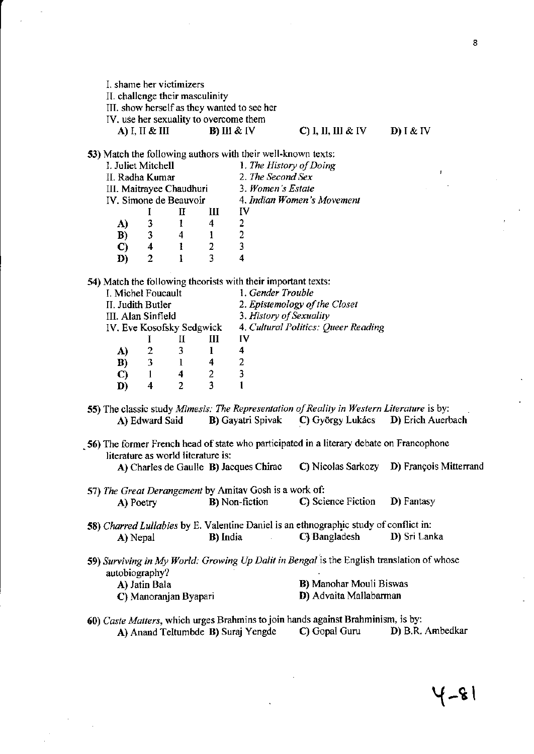I. shame her victimizers

II. challenge their masculinity

III. show herself as they wanted to see her

IV, use her sexuality to overcome them

A) I, II & III  $B)$  III & IV

### $C$ ) I, II, III & IV

 $D) I & IV$ 

53) Match the following authors with their well-known texts:

| 1. The History of Doing<br>I. Juliet Mitchell        |  |
|------------------------------------------------------|--|
| 2. The Second Sex<br>II. Radha Kumar                 |  |
| 3. Women's Estate<br>III. Maitrayee Chaudhuri        |  |
| IV. Simone de Beauvoir<br>4. Indian Women's Movement |  |
| Iν                                                   |  |
| 3<br>A)<br>4                                         |  |
| B)<br>3<br>2<br>4                                    |  |
| C)<br>2<br>4<br>-11                                  |  |
| D)                                                   |  |

54) Match the following theorists with their important texts:

| I. Michel Foucault |   |                           |                               | 1. Gender Trouble                   |
|--------------------|---|---------------------------|-------------------------------|-------------------------------------|
| II. Judith Butler  |   |                           | 2. Epistemology of the Closet |                                     |
| III. Alan Sinfield |   |                           |                               | 3. History of Sexuality             |
|                    |   | IV. Eve Kosofsky Sedgwick |                               | 4. Cultural Politics: Queer Reading |
|                    |   |                           | Ш                             | IV                                  |
| A)                 | 2 | 3                         |                               |                                     |
| B)                 | 3 |                           | 4                             | 2                                   |
| C)                 |   | 4                         | 2                             | 3                                   |
| D)                 | 4 |                           | ٦                             |                                     |
|                    |   |                           |                               |                                     |

- 55) The classic study Mimesis: The Representation of Reality in Western Literature is by: A) Edward Said **B**) Gayatri Spivak C) György Lukács D) Erich Auerbach
- 56) The former French head of state who participated in a literary debate on Francophone literature as world literature is:

| A) Charles de Gaulle B) Jacques Chirac | <b>C</b> ) Nicolas Sarkozy | <b>D</b> ) François Mitterrand |
|----------------------------------------|----------------------------|--------------------------------|
|----------------------------------------|----------------------------|--------------------------------|

- 57) The Great Derangement by Amitav Gosh is a work of: **B**) Non-fiction C) Science Fiction D) Fantasy A) Poetry
- 58) Charred Lullabies by E. Valentine Daniel is an ethnographic study of conflict in: **B**) India C) Bangladesh D) Sri Lanka A) Nepal  $\mathcal{L}_{\mathcal{L}}$
- 59) Surviving in My World: Growing Up Dalit in Bengal is the English translation of whose autobiography?

| A) Jatin Bala         | <b>B</b> ) Manohar Mouli Biswas |
|-----------------------|---------------------------------|
| C) Manoranjan Byapari | D) Advaita Mallabarman          |

60) Caste Matters, which urges Brahmins to join hands against Brahminism, is by: C) Gopal Guru D) B.R. Ambedkar A) Anand Teltumbde B) Suraj Yengde